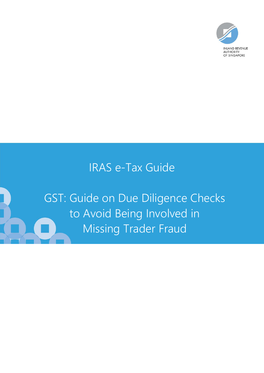

# IRAS e-Tax Guide

GST: Guide on Due Diligence Checks to Avoid Being Involved in Missing Trader Fraud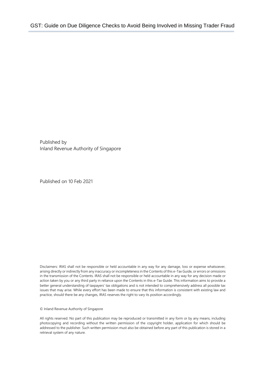Published by Inland Revenue Authority of Singapore

Published on 10 Feb 2021

Disclaimers: IRAS shall not be responsible or held accountable in any way for any damage, loss or expense whatsoever, arising directly or indirectly from any inaccuracy or incompleteness in the Contents of this e-Tax Guide, or errors or omissions in the transmission of the Contents. IRAS shall not be responsible or held accountable in any way for any decision made or action taken by you or any third party in reliance upon the Contents in this e-Tax Guide. This information aims to provide a better general understanding of taxpayers' tax obligations and is not intended to comprehensively address all possible tax issues that may arise. While every effort has been made to ensure that this information is consistent with existing law and practice, should there be any changes, IRAS reserves the right to vary its position accordingly.

© Inland Revenue Authority of Singapore

All rights reserved. No part of this publication may be reproduced or transmitted in any form or by any means, including photocopying and recording without the written permission of the copyright holder, application for which should be addressed to the publisher. Such written permission must also be obtained before any part of this publication is stored in a retrieval system of any nature.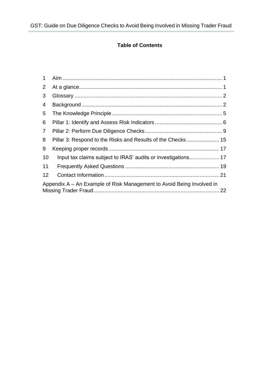### **Table of Contents**

| 1                                                                     |                                                             |  |  |
|-----------------------------------------------------------------------|-------------------------------------------------------------|--|--|
| $\overline{2}$                                                        |                                                             |  |  |
| 3                                                                     |                                                             |  |  |
| 4                                                                     |                                                             |  |  |
| 5                                                                     |                                                             |  |  |
| 6                                                                     |                                                             |  |  |
| $\overline{7}$                                                        |                                                             |  |  |
| 8                                                                     | Pillar 3: Respond to the Risks and Results of the Checks 15 |  |  |
| 9                                                                     |                                                             |  |  |
| 10                                                                    |                                                             |  |  |
| 11                                                                    |                                                             |  |  |
| 12                                                                    |                                                             |  |  |
| Appendix A – An Example of Risk Management to Avoid Being Involved in |                                                             |  |  |
|                                                                       |                                                             |  |  |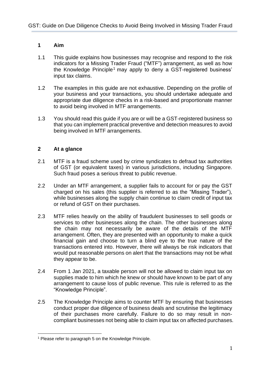#### <span id="page-3-0"></span>**1 Aim**

- 1.1 This guide explains how businesses may recognise and respond to the risk indicators for a Missing Trader Fraud ("MTF") arrangement, as well as how the Knowledge Principle<sup>1</sup> may apply to deny a GST-registered business' input tax claims.
- 1.2 The examples in this guide are not exhaustive. Depending on the profile of your business and your transactions, you should undertake adequate and appropriate due diligence checks in a risk-based and proportionate manner to avoid being involved in MTF arrangements.
- 1.3 You should read this guide if you are or will be a GST-registered business so that you can implement practical preventive and detection measures to avoid being involved in MTF arrangements.

#### <span id="page-3-1"></span>**2 At a glance**

- 2.1 MTF is a fraud scheme used by crime syndicates to defraud tax authorities of GST (or equivalent taxes) in various jurisdictions, including Singapore. Such fraud poses a serious threat to public revenue.
- 2.2 Under an MTF arrangement, a supplier fails to account for or pay the GST charged on his sales (this supplier is referred to as the "Missing Trader"), while businesses along the supply chain continue to claim credit of input tax or refund of GST on their purchases.
- 2.3 MTF relies heavily on the ability of fraudulent businesses to sell goods or services to other businesses along the chain. The other businesses along the chain may not necessarily be aware of the details of the MTF arrangement. Often, they are presented with an opportunity to make a quick financial gain and choose to turn a blind eye to the true nature of the transactions entered into. However, there will always be risk indicators that would put reasonable persons on alert that the transactions may not be what they appear to be.
- 2.4 From 1 Jan 2021, a taxable person will not be allowed to claim input tax on supplies made to him which he knew or should have known to be part of any arrangement to cause loss of public revenue. This rule is referred to as the "Knowledge Principle".
- 2.5 The Knowledge Principle aims to counter MTF by ensuring that businesses conduct proper due diligence of business deals and scrutinise the legitimacy of their purchases more carefully. Failure to do so may result in noncompliant businesses not being able to claim input tax on affected purchases.

<sup>1</sup> Please refer to paragraph 5 on the Knowledge Principle.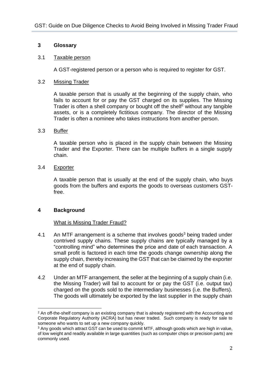#### <span id="page-4-0"></span>**3 Glossary**

#### 3.1 Taxable person

A GST-registered person or a person who is required to register for GST.

#### 3.2 Missing Trader

A taxable person that is usually at the beginning of the supply chain, who fails to account for or pay the GST charged on its supplies. The Missing Trader is often a shell company or bought off the shelf<sup>2</sup> without any tangible assets, or is a completely fictitious company. The director of the Missing Trader is often a nominee who takes instructions from another person.

#### 3.3 Buffer

A taxable person who is placed in the supply chain between the Missing Trader and the Exporter. There can be multiple buffers in a single supply chain.

#### 3.4 Exporter

A taxable person that is usually at the end of the supply chain, who buys goods from the buffers and exports the goods to overseas customers GSTfree.

#### <span id="page-4-1"></span>**4 Background**

#### What is Missing Trader Fraud?

- 4.1 An MTF arrangement is a scheme that involves goods<sup>3</sup> being traded under contrived supply chains. These supply chains are typically managed by a "controlling mind" who determines the price and date of each transaction. A small profit is factored in each time the goods change ownership along the supply chain, thereby increasing the GST that can be claimed by the exporter at the end of supply chain.
- 4.2 Under an MTF arrangement, the seller at the beginning of a supply chain (i.e. the Missing Trader) will fail to account for or pay the GST (i.e. output tax) charged on the goods sold to the intermediary businesses (i.e. the Buffers). The goods will ultimately be exported by the last supplier in the supply chain

<sup>&</sup>lt;sup>2</sup> An off-the-shelf company is an existing company that is already registered with the Accounting and Corporate Regulatory Authority (ACRA) but has never traded. Such company is ready for sale to someone who wants to set up a new company quickly.

<sup>3</sup> Any goods which attract GST can be used to commit MTF, although goods which are high in value, of low weight and readily available in large quantities (such as computer chips or precision parts) are commonly used.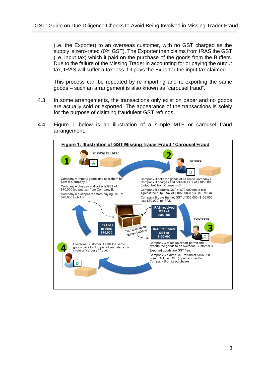(i.e. the Exporter) to an overseas customer, with no GST charged as the supply is zero-rated (0% GST). The Exporter then claims from IRAS the GST (i.e. input tax) which it paid on the purchase of the goods from the Buffers. Due to the failure of the Missing Trader in accounting for or paying the output tax, IRAS will suffer a tax loss if it pays the Exporter the input tax claimed.

This process can be repeated by re-importing and re-exporting the same goods – such an arrangement is also known as "carousel fraud".

- 4.3 In some arrangements, the transactions only exist on paper and no goods are actually sold or exported. The appearance of the transactions is solely for the purpose of claiming fraudulent GST refunds.
- 4.4 Figure 1 below is an illustration of a simple MTF or carousel fraud arrangement.

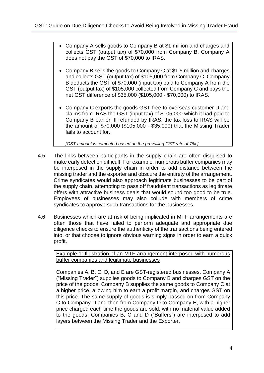- Company A sells goods to Company B at \$1 million and charges and collects GST (output tax) of \$70,000 from Company B. Company A does not pay the GST of \$70,000 to IRAS.
- Company B sells the goods to Company C at \$1.5 million and charges and collects GST (output tax) of \$105,000 from Company C. Company B deducts the GST of \$70,000 (input tax) paid to Company A from the GST (output tax) of \$105,000 collected from Company C and pays the net GST difference of \$35,000 (\$105,000 - \$70,000) to IRAS.
- Company C exports the goods GST-free to overseas customer D and claims from IRAS the GST (input tax) of \$105,000 which it had paid to Company B earlier. If refunded by IRAS, the tax loss to IRAS will be the amount of \$70,000 (\$105,000 - \$35,000) that the Missing Trader fails to account for.

*[GST amount is computed based on the prevailing GST rate of 7%.]*

- 4.5 The links between participants in the supply chain are often disguised to make early detection difficult. For example, numerous buffer companies may be interposed in the supply chain in order to add distance between the missing trader and the exporter and obscure the entirety of the arrangement. Crime syndicates would also approach legitimate businesses to be part of the supply chain, attempting to pass off fraudulent transactions as legitimate offers with attractive business deals that would sound too good to be true. Employees of businesses may also collude with members of crime syndicates to approve such transactions for the businesses.
- 4.6 Businesses which are at risk of being implicated in MTF arrangements are often those that have failed to perform adequate and appropriate due diligence checks to ensure the authenticity of the transactions being entered into, or that choose to ignore obvious warning signs in order to earn a quick profit.

Example 1: Illustration of an MTF arrangement interposed with numerous buffer companies and legitimate businesses

Companies A, B, C, D, and E are GST-registered businesses. Company A ("Missing Trader") supplies goods to Company B and charges GST on the price of the goods. Company B supplies the same goods to Company C at a higher price, allowing him to earn a profit margin, and charges GST on this price. The same supply of goods is simply passed on from Company C to Company D and then from Company D to Company E, with a higher price charged each time the goods are sold, with no material value added to the goods. Companies B, C and D ("Buffers") are interposed to add layers between the Missing Trader and the Exporter.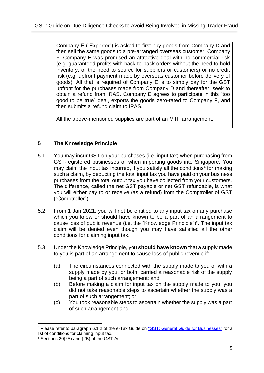Company E ("Exporter") is asked to first buy goods from Company D and then sell the same goods to a pre-arranged overseas customer, Company F. Company E was promised an attractive deal with no commercial risk (e.g. guaranteed profits with back-to-back orders without the need to hold inventory, or the need to source for suppliers or customers) or no credit risk (e.g. upfront payment made by overseas customer before delivery of goods). All that is required of Company E is to simply pay for the GST upfront for the purchases made from Company D and thereafter, seek to obtain a refund from IRAS. Company E agrees to participate in this "too good to be true" deal, exports the goods zero-rated to Company F, and then submits a refund claim to IRAS.

All the above-mentioned supplies are part of an MTF arrangement.

#### <span id="page-7-0"></span>**5 The Knowledge Principle**

- 5.1 You may incur GST on your purchases (i.e*.* input tax) when purchasing from GST-registered businesses or when importing goods into Singapore. You may claim the input tax incurred, if you satisfy all the conditions<sup>4</sup> for making such a claim, by deducting the total input tax you have paid on your business purchases from the total output tax you have collected from your customers. The difference, called the net GST payable or net GST refundable, is what you will either pay to or receive (as a refund) from the Comptroller of GST ("Comptroller").
- 5.2 From 1 Jan 2021, you will not be entitled to any input tax on any purchase which you knew or should have known to be a part of an arrangement to cause loss of public revenue (i.e. the "Knowledge Principle") 5 . The input tax claim will be denied even though you may have satisfied all the other conditions for claiming input tax.
- 5.3 Under the Knowledge Principle, you **should have known** that a supply made to you is part of an arrangement to cause loss of public revenue if:
	- (a) The circumstances connected with the supply made to you or with a supply made by you, or both, carried a reasonable risk of the supply being a part of such arrangement; and
	- (b) Before making a claim for input tax on the supply made to you, you did not take reasonable steps to ascertain whether the supply was a part of such arrangement; or
	- (c) You took reasonable steps to ascertain whether the supply was a part of such arrangement and

<sup>4</sup> Please refer to paragraph 6.1.2 of the e-Tax Guide on ["GST: General Guide for Businesses"](https://www.iras.gov.sg/irashome/uploadedFiles/IRASHome/e-Tax_Guides/etaxguide_GST_GST%20General%20Guide%20for%20Businesses(1).pdf) for a list of conditions for claiming input tax.

<sup>5</sup> Sections 20(2A) and (2B) of the GST Act.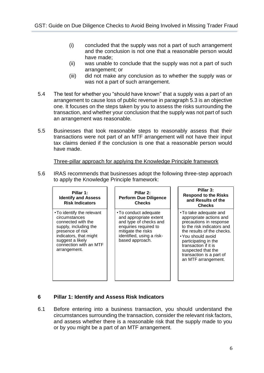- (i) concluded that the supply was not a part of such arrangement and the conclusion is not one that a reasonable person would have made;
- (ii) was unable to conclude that the supply was not a part of such arrangement; or
- (iii) did not make any conclusion as to whether the supply was or was not a part of such arrangement.
- 5.4 The test for whether you "should have known" that a supply was a part of an arrangement to cause loss of public revenue in paragraph 5.3 is an objective one. It focuses on the steps taken by you to assess the risks surrounding the transaction, and whether your conclusion that the supply was not part of such an arrangement was reasonable.
- 5.5 Businesses that took reasonable steps to reasonably assess that their transactions were not part of an MTF arrangement will not have their input tax claims denied if the conclusion is one that a reasonable person would have made.

Three-pillar approach for applying the Knowledge Principle framework

5.6 IRAS recommends that businesses adopt the following three-step approach to apply the Knowledge Principle framework:

| Pillar 1:<br><b>Identify and Assess</b><br><b>Risk Indicators</b>                                                                                                                                      | Pillar 2:<br><b>Perform Due Diligence</b><br><b>Checks</b>                                                                                                               | Pillar 3:<br><b>Respond to the Risks</b><br>and Results of the<br><b>Checks</b>                                                                                                                                                                                                        |
|--------------------------------------------------------------------------------------------------------------------------------------------------------------------------------------------------------|--------------------------------------------------------------------------------------------------------------------------------------------------------------------------|----------------------------------------------------------------------------------------------------------------------------------------------------------------------------------------------------------------------------------------------------------------------------------------|
| • To identify the relevant<br>circumstances<br>connected with the<br>supply, including the<br>presence of risk<br>indicators, that might<br>suggest a likely<br>connection with an MTF<br>arrangement. | • To conduct adequate<br>and appropriate extent<br>and type of checks and<br>enquiries required to<br>mitigate the risks<br>identified, using a risk-<br>based approach. | •To take adequate and<br>appropriate actions and<br>precautions in response<br>to the risk indicators and<br>the results of the checks.<br>• You should avoid<br>participating in the<br>transaction if it is<br>suspected that the<br>transaction is a part of<br>an MTF arrangement. |

#### <span id="page-8-0"></span>**6 Pillar 1: Identify and Assess Risk Indicators**

6.1 Before entering into a business transaction, you should understand the circumstances surrounding the transaction, consider the relevant risk factors, and assess whether there is a reasonable risk that the supply made to you or by you might be a part of an MTF arrangement.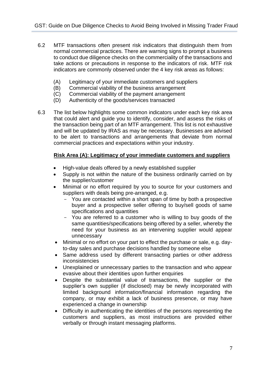- 6.2 MTF transactions often present risk indicators that distinguish them from normal commercial practices. There are warning signs to prompt a business to conduct due diligence checks on the commerciality of the transactions and take actions or precautions in response to the indicators of risk. MTF risk indicators are commonly observed under the 4 key risk areas as follows:
	- (A) Legitimacy of your immediate customers and suppliers<br>(B) Commercial viability of the business arrangement
	- (B) Commercial viability of the business arrangement<br>(C) Commercial viability of the payment arrangement
	- Commercial viability of the payment arrangement
	- (D) Authenticity of the goods/services transacted
- 6.3 The list below highlights some common indicators under each key risk area that could alert and guide you to identify, consider, and assess the risks of the transaction being part of an MTF arrangement. This list is not exhaustive and will be updated by IRAS as may be necessary. Businesses are advised to be alert to transactions and arrangements that deviate from normal commercial practices and expectations within your industry.

#### **Risk Area (A): Legitimacy of your immediate customers and suppliers**

- High-value deals offered by a newly established supplier
- Supply is not within the nature of the business ordinarily carried on by the supplier/customer
- Minimal or no effort required by you to source for your customers and suppliers with deals being pre-arranged, e.g.
	- You are contacted within a short span of time by both a prospective buyer and a prospective seller offering to buy/sell goods of same specifications and quantities
	- You are referred to a customer who is willing to buy goods of the same quantities/specifications being offered by a seller, whereby the need for your business as an intervening supplier would appear unnecessary
- Minimal or no effort on your part to effect the purchase or sale, e.g. dayto-day sales and purchase decisions handled by someone else
- Same address used by different transacting parties or other address inconsistencies
- Unexplained or unnecessary parties to the transaction and who appear evasive about their identities upon further enquiries
- Despite the substantial value of transactions, the supplier or the supplier's own supplier (if disclosed) may be newly incorporated with limited background information/financial information regarding the company, or may exhibit a lack of business presence, or may have experienced a change in ownership
- Difficulty in authenticating the identities of the persons representing the customers and suppliers, as most instructions are provided either verbally or through instant messaging platforms.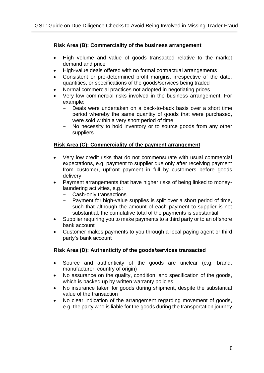#### **Risk Area (B): Commerciality of the business arrangement**

- High volume and value of goods transacted relative to the market demand and price
- High-value deals offered with no formal contractual arrangements
- Consistent or pre-determined profit margins, irrespective of the date, quantities, or specifications of the goods/services being traded
- Normal commercial practices not adopted in negotiating prices
- Very low commercial risks involved in the business arrangement. For example:
	- Deals were undertaken on a back-to-back basis over a short time period whereby the same quantity of goods that were purchased, were sold within a very short period of time
	- No necessity to hold inventory or to source goods from any other suppliers

#### **Risk Area (C): Commerciality of the payment arrangement**

- Very low credit risks that do not commensurate with usual commercial expectations, e.g. payment to supplier due only after receiving payment from customer, upfront payment in full by customers before goods delivery
- Payment arrangements that have higher risks of being linked to moneylaundering activities, e.g.:
	- Cash-only transactions
	- Payment for high-value supplies is split over a short period of time, such that although the amount of each payment to supplier is not substantial, the cumulative total of the payments is substantial
- Supplier requiring you to make payments to a third party or to an offshore bank account
- Customer makes payments to you through a local paying agent or third party's bank account

#### **Risk Area (D): Authenticity of the goods/services transacted**

- Source and authenticity of the goods are unclear (e.g. brand, manufacturer, country of origin)
- No assurance on the quality, condition, and specification of the goods, which is backed up by written warranty policies
- No insurance taken for goods during shipment, despite the substantial value of the transaction
- No clear indication of the arrangement regarding movement of goods, e.g. the party who is liable for the goods during the transportation journey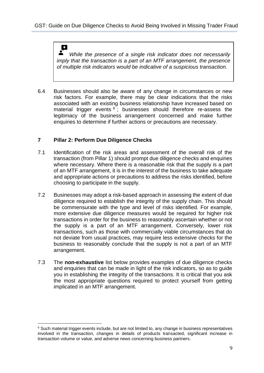## $\boldsymbol{\Omega}$

*While the presence of a single risk indicator does not necessarily imply that the transaction is a part of an MTF arrangement, the presence of multiple risk indicators would be indicative of a suspicious transaction.* 

6.4 Businesses should also be aware of any change in circumstances or new risk factors. For example, there may be clear indications that the risks associated with an existing business relationship have increased based on material trigger events <sup>6</sup>; businesses should therefore re-assess the legitimacy of the business arrangement concerned and make further enquiries to determine if further actions or precautions are necessary.

#### <span id="page-11-0"></span>**7 Pillar 2: Perform Due Diligence Checks**

- 7.1 Identification of the risk areas and assessment of the overall risk of the transaction (from Pillar 1) should prompt due diligence checks and enquiries where necessary. Where there is a reasonable risk that the supply is a part of an MTF arrangement, it is in the interest of the business to take adequate and appropriate actions or precautions to address the risks identified, before choosing to participate in the supply.
- 7.2 Businesses may adopt a risk-based approach in assessing the extent of due diligence required to establish the integrity of the supply chain. This should be commensurate with the type and level of risks identified. For example, more extensive due diligence measures would be required for higher risk transactions in order for the business to reasonably ascertain whether or not the supply is a part of an MTF arrangement. Conversely, lower risk transactions, such as those with commercially viable circumstances that do not deviate from usual practices, may require less extensive checks for the business to reasonably conclude that the supply is not a part of an MTF arrangement.
- 7.3 The **non-exhaustive** list below provides examples of due diligence checks and enquiries that can be made in light of the risk indicators, so as to guide you in establishing the integrity of the transactions. It is critical that you ask the most appropriate questions required to protect yourself from getting implicated in an MTF arrangement.

<sup>&</sup>lt;sup>6</sup> Such material trigger events include, but are not limited to, any change in business representatives involved in the transaction, changes in details of products transacted, significant increase in transaction volume or value, and adverse news concerning business partners.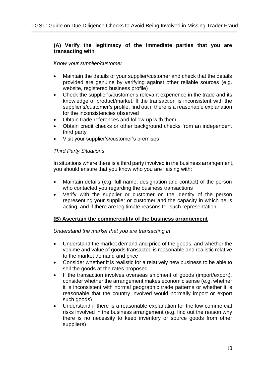#### **(A) Verify the legitimacy of the immediate parties that you are transacting with**

#### *Know your supplier/customer*

- Maintain the details of your supplier/customer and check that the details provided are genuine by verifying against other reliable sources (e.g. website, registered business profile)
- Check the supplier's/customer's relevant experience in the trade and its knowledge of product/market. If the transaction is inconsistent with the supplier's/customer's profile, find out if there is a reasonable explanation for the inconsistencies observed
- Obtain trade references and follow-up with them
- Obtain credit checks or other background checks from an independent third party
- Visit your supplier's/customer's premises

#### *Third Party Situations*

In situations where there is a third party involved in the business arrangement, you should ensure that you know who you are liaising with:

- Maintain details (e.g. full name, designation and contact) of the person who contacted you regarding the business transactions
- Verify with the supplier or customer on the identity of the person representing your supplier or customer and the capacity in which he is acting, and if there are legitimate reasons for such representation

#### **(B) Ascertain the commerciality of the business arrangement**

#### *Understand the market that you are transacting in*

- Understand the market demand and price of the goods, and whether the volume and value of goods transacted is reasonable and realistic relative to the market demand and price
- Consider whether it is realistic for a relatively new business to be able to sell the goods at the rates proposed
- If the transaction involves overseas shipment of goods (import/export), consider whether the arrangement makes economic sense (e.g. whether it is inconsistent with normal geographic trade patterns or whether it is reasonable that the country involved would normally import or export such goods)
- Understand if there is a reasonable explanation for the low commercial risks involved in the business arrangement (e.g. find out the reason why there is no necessity to keep inventory or source goods from other suppliers)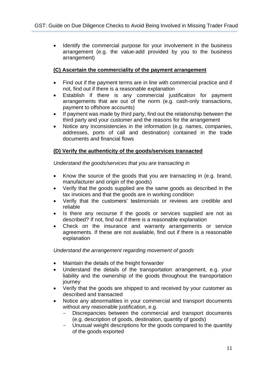• Identify the commercial purpose for your involvement in the business arrangement (e.g. the value-add provided by you to the business arrangement)

#### **(C) Ascertain the commerciality of the payment arrangement**

- Find out if the payment terms are in line with commercial practice and if not, find out if there is a reasonable explanation
- Establish if there is any commercial justification for payment arrangements that are out of the norm (e.g. cash-only transactions, payment to offshore accounts)
- If payment was made by third party, find out the relationship between the third party and your customer and the reasons for the arrangement
- Notice any inconsistencies in the information (e.g. names, companies, addresses, ports of call and destination) contained in the trade documents and financial flows

#### **(D) Verify the authenticity of the goods/services transacted**

*Understand the goods/services that you are transacting in* 

- Know the source of the goods that you are transacting in (e.g. brand, manufacturer and origin of the goods)
- Verify that the goods supplied are the same goods as described in the tax invoices and that the goods are in working condition
- Verify that the customers' testimonials or reviews are credible and reliable
- Is there any recourse if the goods or services supplied are not as described? If not, find out if there is a reasonable explanation
- Check on the insurance and warranty arrangements or service agreements. If these are not available, find out if there is a reasonable explanation

*Understand the arrangement regarding movement of goods*

- Maintain the details of the freight forwarder
- Understand the details of the transportation arrangement, e.g. your liability and the ownership of the goods throughout the transportation journey
- Verify that the goods are shipped to and received by your customer as described and transacted
- Notice any abnormalities in your commercial and transport documents without any reasonable justification, e.g.
	- Discrepancies between the commercial and transport documents (e.g. description of goods, destination, quantity of goods)
	- Unusual weight descriptions for the goods compared to the quantity of the goods exported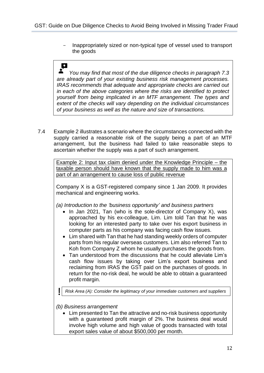- Inappropriately sized or non-typical type of vessel used to transport the goods

#### $\Omega$

*You may find that most of the due diligence checks in paragraph 7.3 are already part of your existing business risk management processes. IRAS recommends that adequate and appropriate checks are carried out in each of the above categories where the risks are identified to protect yourself from being implicated in an MTF arrangement. The types and extent of the checks will vary depending on the individual circumstances of your business as well as the nature and size of transactions.*

7.4 Example 2 illustrates a scenario where the circumstances connected with the supply carried a reasonable risk of the supply being a part of an MTF arrangement, but the business had failed to take reasonable steps to ascertain whether the supply was a part of such arrangement.

Example 2: Input tax claim denied under the Knowledge Principle – the taxable person should have known that the supply made to him was a part of an arrangement to cause loss of public revenue

Company X is a GST-registered company since 1 Jan 2009. It provides mechanical and engineering works.

*(a) Introduction to the 'business opportunity' and business partners*

- In Jan 2021, Tan (who is the sole-director of Company X), was approached by his ex-colleague, Lim. Lim told Tan that he was looking for an interested party to take over his export business in computer parts as his company was facing cash flow issues.
- Lim shared with Tan that he had standing weekly orders of computer parts from his regular overseas customers. Lim also referred Tan to Koh from Company Z whom he usually purchases the goods from.
- Tan understood from the discussions that he could alleviate Lim's cash flow issues by taking over Lim's export business and reclaiming from IRAS the GST paid on the purchases of goods. In return for the no-risk deal, he would be able to obtain a guaranteed profit margin.

*Risk Area (A): Consider the legitimacy of your immediate customers and suppliers*

*(b) Business arrangement* 

• Lim presented to Tan the attractive and no-risk business opportunity with a guaranteed profit margin of 2%. The business deal would involve high volume and high value of goods transacted with total export sales value of about \$500,000 per month.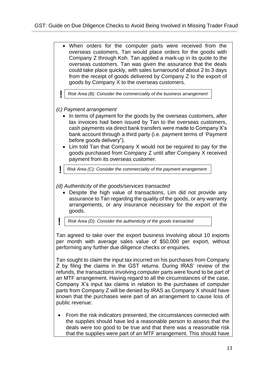• When orders for the computer parts were received from the overseas customers, Tan would place orders for the goods with Company Z through Koh. Tan applied a mark-up in its quote to the overseas customers. Tan was given the assurance that the deals could take place quickly, with sales turnaround of about 2 to 3 days from the receipt of goods delivered by Company Z to the export of goods by Company X to the overseas customers.

*Risk Area (B): Consider the commerciality of the business arrangement*

*(c) Payment arrangement*

- In terms of payment for the goods by the overseas customers, after tax invoices had been issued by Tan to the overseas customers, cash payments via direct bank transfers were made to Company X's bank account through a third party (i.e*.* payment terms of 'Payment before goods delivery").
- Lim told Tan that Company X would not be required to pay for the goods purchased from Company Z until after Company X received payment from its overseas customer.

*Risk Area (C): Consider the commerciality of the payment arrangement*

*(d) Authenticity of the goods/services transacted* 

- Despite the high value of transactions, Lim did not provide any assurance to Tan regarding the quality of the goods, or any warranty arrangements, or any insurance necessary for the export of the goods.
- *Risk Area (D): Consider the authenticity of the goods transacted*

Tan agreed to take over the export business involving about 10 exports per month with average sales value of \$50,000 per export, without performing any further due diligence checks or enquiries.

Tan sought to claim the input tax incurred on his purchases from Company Z by filing the claims in the GST returns. During IRAS' review of the refunds, the transactions involving computer parts were found to be part of an MTF arrangement. Having regard to all the circumstances of the case, Company X's input tax claims in relation to the purchases of computer parts from Company Z will be denied by IRAS as Company X should have known that the purchases were part of an arrangement to cause loss of public revenue:

• From the risk indicators presented, the circumstances connected with the supplies should have led a reasonable person to assess that the deals were too good to be true and that there was a reasonable risk that the supplies were part of an MTF arrangement. This should have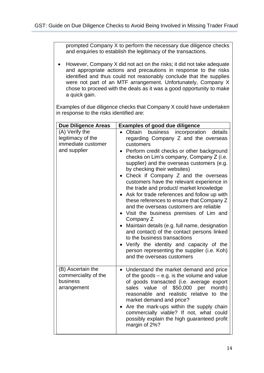prompted Company X to perform the necessary due diligence checks and enquiries to establish the legitimacy of the transactions.

• However, Company X did not act on the risks; it did not take adequate and appropriate actions and precautions in response to the risks identified and thus could not reasonably conclude that the supplies were not part of an MTF arrangement. Unfortunately, Company X chose to proceed with the deals as it was a good opportunity to make a quick gain.

Examples of due diligence checks that Company X could have undertaken in response to the risks identified are:

| <b>Due Diligence Areas</b>                                                | <b>Examples of good due diligence</b>                                                                                                                                                                                                                                                                                                                                                                                                                                                                                                                                                                                                                                                                                                                                                                                                                                     |
|---------------------------------------------------------------------------|---------------------------------------------------------------------------------------------------------------------------------------------------------------------------------------------------------------------------------------------------------------------------------------------------------------------------------------------------------------------------------------------------------------------------------------------------------------------------------------------------------------------------------------------------------------------------------------------------------------------------------------------------------------------------------------------------------------------------------------------------------------------------------------------------------------------------------------------------------------------------|
| (A) Verify the<br>legitimacy of the<br>immediate customer<br>and supplier | business incorporation<br>Obtain<br>details<br>$\bullet$<br>regarding Company Z and the overseas<br>customers<br>Perform credit checks or other background<br>checks on Lim's company, Company Z (i.e.<br>supplier) and the overseas customers (e.g.<br>by checking their websites)<br>Check if Company Z and the overseas<br>customers have the relevant experience in<br>the trade and product/ market knowledge<br>Ask for trade references and follow up with<br>these references to ensure that Company Z<br>and the overseas customers are reliable<br>• Visit the business premises of Lim and<br>Company Z<br>Maintain details (e.g. full name, designation<br>and contact) of the contact persons linked<br>to the business transactions<br>Verify the identity and capacity of the<br>person representing the supplier (i.e. Koh)<br>and the overseas customers |
| (B) Ascertain the<br>commerciality of the<br>business<br>arrangement      | Understand the market demand and price<br>$\bullet$<br>of the goods $-$ e.g. is the volume and value<br>of goods transacted (i.e. average export<br>sales value of \$50,000 per month)<br>reasonable and realistic relative to the<br>market demand and price?<br>Are the mark-ups within the supply chain<br>commercially viable? If not, what could<br>possibly explain the high guaranteed profit<br>margin of 2%?                                                                                                                                                                                                                                                                                                                                                                                                                                                     |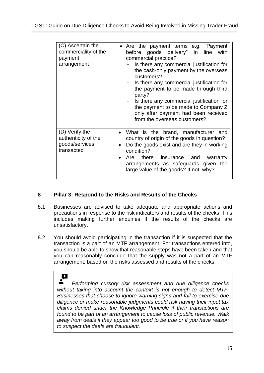| (C) Ascertain the<br>commerciality of the<br>payment<br>arrangement   | Are the payment terms e.g. "Payment<br>goods delivery" in line<br>with<br>before<br>commercial practice?<br>Is there any commercial justification for<br>the cash-only payment by the overseas<br>customers?<br>Is there any commercial justification for<br>the payment to be made through third<br>party?<br>- Is there any commercial justification for<br>the payment to be made to Company Z<br>only after payment had been received<br>from the overseas customers? |
|-----------------------------------------------------------------------|---------------------------------------------------------------------------------------------------------------------------------------------------------------------------------------------------------------------------------------------------------------------------------------------------------------------------------------------------------------------------------------------------------------------------------------------------------------------------|
| (D) Verify the<br>authenticity of the<br>goods/services<br>transacted | What is the brand, manufacturer and<br>$\bullet$<br>country of origin of the goods in question?<br>Do the goods exist and are they in working<br>$\bullet$<br>condition?<br>Are there insurance and<br>warranty<br>arrangements as safeguards given the<br>large value of the goods? If not, why?                                                                                                                                                                         |

#### <span id="page-17-0"></span>**8 Pillar 3: Respond to the Risks and Results of the Checks**

- 8.1 Businesses are advised to take adequate and appropriate actions and precautions in response to the risk indicators and results of the checks. This includes making further enquiries if the results of the checks are unsatisfactory.
- 8.2 You should avoid participating in the transaction if it is suspected that the transaction is a part of an MTF arrangement. For transactions entered into, you should be able to show that reasonable steps have been taken and that you can reasonably conclude that the supply was not a part of an MTF arrangement, based on the risks assessed and results of the checks.

 $\mathbf \Omega$  $\mathbf{r}$ *Performing cursory risk assessment and due diligence checks without taking into account the context is not enough to detect MTF. Businesses that choose to ignore warning signs and fail to exercise due diligence or make reasonable judgments could risk having their input tax claims denied under the Knowledge Principle if their transactions are found to be part of an arrangement to cause loss of public revenue. Walk away from deals if they appear too good to be true or if you have reason to suspect the deals are fraudulent.*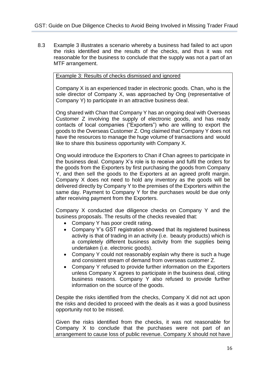8.3 Example 3 illustrates a scenario whereby a business had failed to act upon the risks identified and the results of the checks, and thus it was not reasonable for the business to conclude that the supply was not a part of an MTF arrangement.

#### Example 3: Results of checks dismissed and ignored

Company X is an experienced trader in electronic goods. Chan, who is the sole director of Company X, was approached by Ong (representative of Company Y) to participate in an attractive business deal.

Ong shared with Chan that Company Y has an ongoing deal with Overseas Customer Z involving the supply of electronic goods, and has ready contacts of local companies ("Exporters") who are willing to export the goods to the Overseas Customer Z. Ong claimed that Company Y does not have the resources to manage the huge volume of transactions and would like to share this business opportunity with Company X.

Ong would introduce the Exporters to Chan if Chan agrees to participate in the business deal. Company X's role is to receive and fulfil the orders for the goods from the Exporters by first purchasing the goods from Company Y, and then sell the goods to the Exporters at an agreed profit margin. Company X does not need to hold any inventory as the goods will be delivered directly by Company Y to the premises of the Exporters within the same day. Payment to Company Y for the purchases would be due only after receiving payment from the Exporters.

Company X conducted due diligence checks on Company Y and the business proposals. The results of the checks revealed that:

- Company Y has poor credit rating.
- Company Y's GST registration showed that its registered business activity is that of trading in an activity (i.e. beauty products) which is a completely different business activity from the supplies being undertaken (i.e. electronic goods).
- Company Y could not reasonably explain why there is such a huge and consistent stream of demand from overseas customer Z.
- Company Y refused to provide further information on the Exporters unless Company X agrees to participate in the business deal, citing business reasons. Company Y also refused to provide further information on the source of the goods.

Despite the risks identified from the checks, Company X did not act upon the risks and decided to proceed with the deals as it was a good business opportunity not to be missed.

Given the risks identified from the checks, it was not reasonable for Company X to conclude that the purchases were not part of an arrangement to cause loss of public revenue. Company X should not have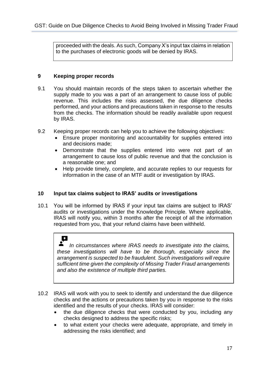proceeded with the deals. As such, Company X's input tax claims in relation to the purchases of electronic goods will be denied by IRAS.

#### <span id="page-19-0"></span>**9 Keeping proper records**

- 9.1 You should maintain records of the steps taken to ascertain whether the supply made to you was a part of an arrangement to cause loss of public revenue. This includes the risks assessed, the due diligence checks performed, and your actions and precautions taken in response to the results from the checks. The information should be readily available upon request by IRAS.
- 9.2 Keeping proper records can help you to achieve the following objectives:
	- Ensure proper monitoring and accountability for supplies entered into and decisions made;
	- Demonstrate that the supplies entered into were not part of an arrangement to cause loss of public revenue and that the conclusion is a reasonable one; and
	- Help provide timely, complete, and accurate replies to our requests for information in the case of an MTF audit or investigation by IRAS.

#### <span id="page-19-1"></span>**10 Input tax claims subject to IRAS' audits or investigations**

10.1 You will be informed by IRAS if your input tax claims are subject to IRAS' audits or investigations under the Knowledge Principle. Where applicable, IRAS will notify you, within 3 months after the receipt of all the information requested from you, that your refund claims have been withheld.

#### $\mathbf \Omega$

*In circumstances where IRAS needs to investigate into the claims, these investigations will have to be thorough, especially since the arrangement is suspected to be fraudulent. Such investigations will require sufficient time given the complexity of Missing Trader Fraud arrangements and also the existence of multiple third parties.*

- 10.2 IRAS will work with you to seek to identify and understand the due diligence checks and the actions or precautions taken by you in response to the risks identified and the results of your checks. IRAS will consider:
	- the due diligence checks that were conducted by you, including any checks designed to address the specific risks;
	- to what extent your checks were adequate, appropriate, and timely in addressing the risks identified; and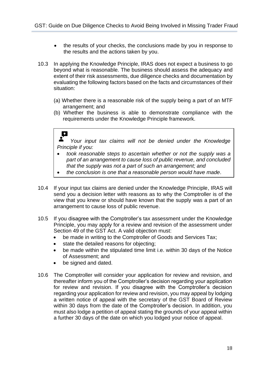- the results of your checks, the conclusions made by you in response to the results and the actions taken by you.
- 10.3 In applying the Knowledge Principle, IRAS does not expect a business to go beyond what is reasonable. The business should assess the adequacy and extent of their risk assessments, due diligence checks and documentation by evaluating the following factors based on the facts and circumstances of their situation:
	- (a) Whether there is a reasonable risk of the supply being a part of an MTF arrangement; and
	- (b) Whether the business is able to demonstrate compliance with the requirements under the Knowledge Principle framework.

## $\Omega$

*Your input tax claims will not be denied under the Knowledge Principle if you:*

- *took reasonable steps to ascertain whether or not the supply was a part of an arrangement to cause loss of public revenue, and concluded that the supply was not a part of such an arrangement; and*
- *the conclusion is one that a reasonable person would have made*.
- 10.4 If your input tax claims are denied under the Knowledge Principle, IRAS will send you a decision letter with reasons as to why the Comptroller is of the view that you knew or should have known that the supply was a part of an arrangement to cause loss of public revenue.
- 10.5 If you disagree with the Comptroller's tax assessment under the Knowledge Principle, you may apply for a review and revision of the assessment under Section 49 of the GST Act. A valid objection must:
	- be made in writing to the Comptroller of Goods and Services Tax;
	- state the detailed reasons for objecting;
	- be made within the stipulated time limit i.e. within 30 days of the Notice of Assessment; and
	- be signed and dated.
- 10.6 The Comptroller will consider your application for review and revision, and thereafter inform you of the Comptroller's decision regarding your application for review and revision. If you disagree with the Comptroller's decision regarding your application for review and revision, you may appeal by lodging a written notice of appeal with the secretary of the GST Board of Review within 30 days from the date of the Comptroller's decision. In addition, you must also lodge a petition of appeal stating the grounds of your appeal within a further 30 days of the date on which you lodged your notice of appeal.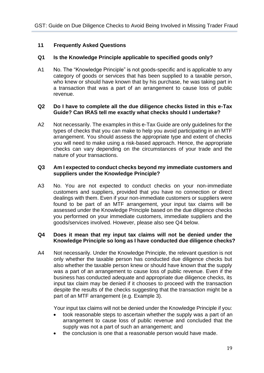#### <span id="page-21-0"></span>**11 Frequently Asked Questions**

#### **Q1 Is the Knowledge Principle applicable to specified goods only?**

A1 No. The "Knowledge Principle" is not goods-specific and is applicable to any category of goods or services that has been supplied to a taxable person, who knew or should have known that by his purchase, he was taking part in a transaction that was a part of an arrangement to cause loss of public revenue.

#### **Q2 Do I have to complete all the due diligence checks listed in this e-Tax Guide? Can IRAS tell me exactly what checks should I undertake?**

A2 Not necessarily. The examples in this e-Tax Guide are only guidelines for the types of checks that you can make to help you avoid participating in an MTF arrangement. You should assess the appropriate type and extent of checks you will need to make using a risk-based approach. Hence, the appropriate checks can vary depending on the circumstances of your trade and the nature of your transactions.

#### **Q3 Am I expected to conduct checks beyond my immediate customers and suppliers under the Knowledge Principle?**

A3 No. You are not expected to conduct checks on your non-immediate customers and suppliers, provided that you have no connection or direct dealings with them. Even if your non-immediate customers or suppliers were found to be part of an MTF arrangement, your input tax claims will be assessed under the Knowledge Principle based on the due diligence checks you performed on your immediate customers, immediate suppliers and the goods/services involved. However, please also see Q4 below.

#### **Q4 Does it mean that my input tax claims will not be denied under the Knowledge Principle so long as I have conducted due diligence checks?**

A4 Not necessarily. Under the Knowledge Principle, the relevant question is not only whether the taxable person has conducted due diligence checks but also whether the taxable person knew or should have known that the supply was a part of an arrangement to cause loss of public revenue. Even if the business has conducted adequate and appropriate due diligence checks, its input tax claim may be denied if it chooses to proceed with the transaction despite the results of the checks suggesting that the transaction might be a part of an MTF arrangement (e.g. Example 3).

Your input tax claims will not be denied under the Knowledge Principle if you:

- took reasonable steps to ascertain whether the supply was a part of an arrangement to cause loss of public revenue and concluded that the supply was not a part of such an arrangement; and
- the conclusion is one that a reasonable person would have made.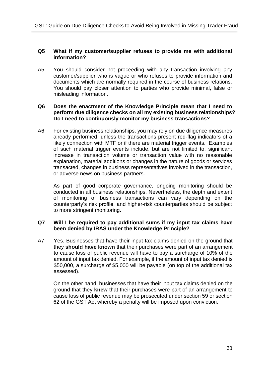#### **Q5 What if my customer/supplier refuses to provide me with additional information?**

A5 You should consider not proceeding with any transaction involving any customer/supplier who is vague or who refuses to provide information and documents which are normally required in the course of business relations. You should pay closer attention to parties who provide minimal, false or misleading information.

#### **Q6 Does the enactment of the Knowledge Principle mean that I need to perform due diligence checks on all my existing business relationships? Do I need to continuously monitor my business transactions?**

A6 For existing business relationships, you may rely on due diligence measures already performed, unless the transactions present red-flag indicators of a likely connection with MTF or if there are material trigger events. Examples of such material trigger events include, but are not limited to, significant increase in transaction volume or transaction value with no reasonable explanation, material additions or changes in the nature of goods or services transacted, changes in business representatives involved in the transaction, or adverse news on business partners.

As part of good corporate governance, ongoing monitoring should be conducted in all business relationships. Nevertheless, the depth and extent of monitoring of business transactions can vary depending on the counterparty's risk profile, and higher-risk counterparties should be subject to more stringent monitoring.

#### **Q7 Will I be required to pay additional sums if my input tax claims have been denied by IRAS under the Knowledge Principle?**

A7 Yes. Businesses that have their input tax claims denied on the ground that they **should have known** that their purchases were part of an arrangement to cause loss of public revenue will have to pay a surcharge of 10% of the amount of input tax denied. For example, if the amount of input tax denied is \$50,000, a surcharge of \$5,000 will be payable (on top of the additional tax assessed).

On the other hand, businesses that have their input tax claims denied on the ground that they **knew** that their purchases were part of an arrangement to cause loss of public revenue may be prosecuted under section 59 or section 62 of the GST Act whereby a penalty will be imposed upon conviction.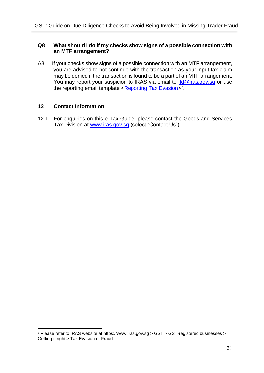#### **Q8 What should I do if my checks show signs of a possible connection with an MTF arrangement?**

A8 If your checks show signs of a possible connection with an MTF arrangement, you are advised to not continue with the transaction as your input tax claim may be denied if the transaction is found to be a part of an MTF arrangement. You may report your suspicion to IRAS via email to *ifd@iras.gov.sg* or use the reporting email template <<u>Reporting Tax Evasion</u>><sup>7</sup>.

#### <span id="page-23-0"></span>**12 Contact Information**

12.1 For enquiries on this e-Tax Guide, please contact the Goods and Services Tax Division at [www.iras.gov.sg](http://www.iras.gov.sg/) (select "Contact Us").

<sup>7</sup> Please refer to IRAS website at https://www.iras.gov.sg > GST > GST-registered businesses > Getting it right > Tax Evasion or Fraud.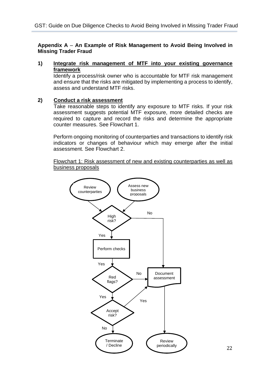#### <span id="page-24-0"></span>**Appendix A** – **An Example of Risk Management to Avoid Being Involved in Missing Trader Fraud**

**1) Integrate risk management of MTF into your existing governance framework**

Identify a process/risk owner who is accountable for MTF risk management and ensure that the risks are mitigated by implementing a process to identify, assess and understand MTF risks.

#### **2) Conduct a risk assessment**

Take reasonable steps to identify any exposure to MTF risks. If your risk assessment suggests potential MTF exposure, more detailed checks are required to capture and record the risks and determine the appropriate counter measures. See Flowchart 1.

Perform ongoing monitoring of counterparties and transactions to identify risk indicators or changes of behaviour which may emerge after the initial assessment. See Flowchart 2.

Flowchart 1: Risk assessment of new and existing counterparties as well as business proposals